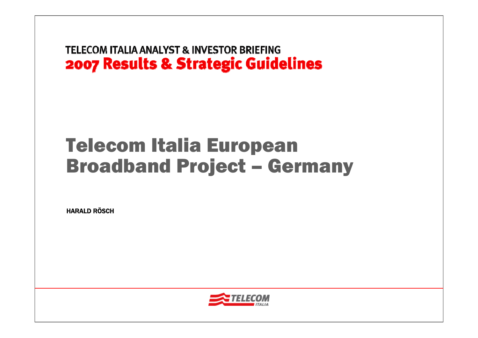# Telecom Italia European Broadband Project – Germany

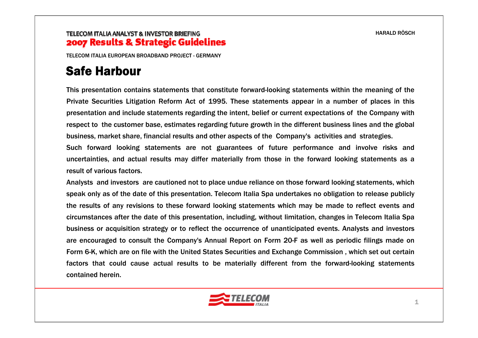TELECOM ITALIA EUROPEAN BROADBAND PROJECT - GERMANY

# Safe Harbour

This presentation contains statements that constitute forward-looking statements within the meaning of the Private Securities Litigation Reform Act of 1995. These statements appear in a number of places in this presentation and include statements regarding the intent, belief or current expectations of the Company with respect to the customer base, estimates regarding future growth in the different business lines and the global business, market share, financial results and other aspects of the Company's activities and strategies.

Such forward looking statements are not guarantees of future performance and involve risks and uncertainties, and actual results may differ materially from those in the forward looking statements as a result of various factors.

Analysts and investors are cautioned not to place undue reliance on those forward looking statements, which speak only as of the date of this presentation. Telecom Italia Spa undertakes no obligation to release publicly the results of any revisions to these forward looking statements which may be made to reflect events and circumstances after the date of this presentation, including, without limitation, changes in Telecom Italia Spa business or acquisition strategy or to reflect the occurrence of unanticipated events. Analysts and investors are encouraged to consult the Company's Annual Report on Form 20-F as well as periodic filings made on Form 6-K, which are on file with the United States Securities and Exchange Commission , which set out certain factors that could cause actual results to be materially different from the forward-looking statements contained herein.

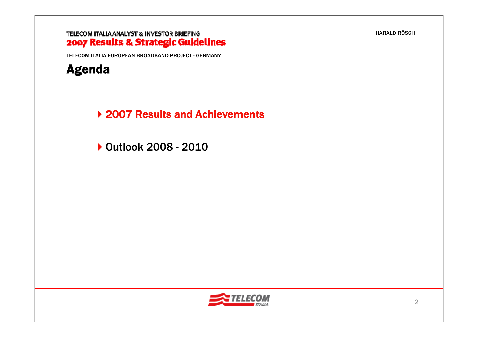#### TELECOM ITALIA ANALYST & INVESTOR BRIEFING 2007 Results & Strategic Guidelines

TELECOM ITALIA EUROPEAN BROADBAND PROJECT - GERMANY



▶ 2007 Results and Achievements

Outlook 2008 - 2010

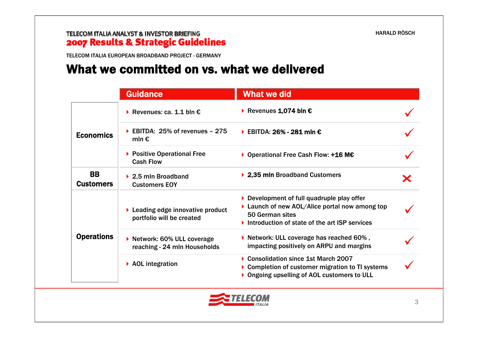### TELECOM ITALIA ANALYST & INVESTOR BRIEFING 2007 Results & Strategic Guidelines

TELECOM ITALIA EUROPEAN BROADBAND PROJECT - GERMANY

### What we committed on vs. what we delivered

|                               | <b>Guidance</b>                                                | <b>What we did</b>                                                                                                                                                              |   |
|-------------------------------|----------------------------------------------------------------|---------------------------------------------------------------------------------------------------------------------------------------------------------------------------------|---|
| <b>Economics</b>              | Revenues: ca. 1.1 bln $\epsilon$                               | Revenues 1,074 bln $\epsilon$                                                                                                                                                   |   |
|                               | EBITDA: $25\%$ of revenues - 275<br>mln $\epsilon$             | EBITDA: 26% - 281 mln $\epsilon$                                                                                                                                                |   |
|                               | ▶ Positive Operational Free<br><b>Cash Flow</b>                | ▶ Operational Free Cash Flow: +16 M€                                                                                                                                            |   |
| <b>BB</b><br><b>Customers</b> | ▶ 2,5 mln Broadband<br><b>Customers EOY</b>                    | ▶ 2,35 mln Broadband Customers                                                                                                                                                  | Х |
| <b>Operations</b>             | ▶ Leading edge innovative product<br>portfolio will be created | $\triangleright$ Development of full quadruple play offer<br>▶ Launch of new AOL/Alice portal now among top<br>50 German sites<br>Introduction of state of the art ISP services |   |
|                               | ▶ Network: 60% ULL coverage<br>reaching - 24 mln Households    | $\triangleright$ Network: ULL coverage has reached 60%,<br>impacting positively on ARPU and margins                                                                             |   |
|                               | $\triangleright$ AOL integration                               | Consolidation since 1st March 2007<br>▶ Completion of customer migration to TI systems<br>Ongoing upselling of AOL customers to ULL                                             |   |

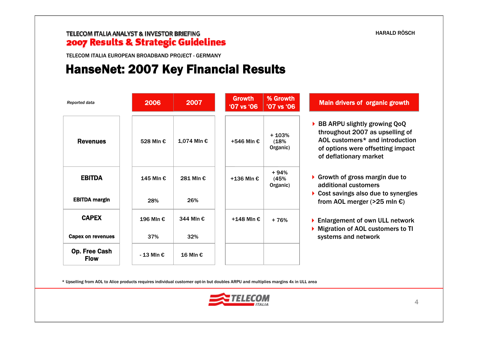TELECOM ITALIA EUROPEAN BROADBAND PROJECT - GERMANY

### HanseNet: 2007 Key Financial Results

| Reported data                       | 2006       | 2007        | <b>Growth</b><br>'07 vs '06 | % Growth<br>'07 vs '06      | <b>Main drivers of organic growth</b>                                                                                                                             |
|-------------------------------------|------------|-------------|-----------------------------|-----------------------------|-------------------------------------------------------------------------------------------------------------------------------------------------------------------|
| <b>Revenues</b>                     | 528 Mln €  | 1,074 MIn € | +546 MIn €                  | $+103%$<br>(18%<br>Organic) | BB ARPU slightly growing QoQ<br>throughout 2007 as upselling of<br>AOL customers* and introduction<br>of options were offsetting impact<br>of deflationary market |
| <b>EBITDA</b>                       | 145 Mln €  | 281 Mln €   | +136 MIn €                  | $+94%$<br>(45%<br>Organic)  | Growth of gross margin due to<br>additional customers                                                                                                             |
| <b>EBITDA margin</b>                | 28%        | 26%         |                             |                             | Cost savings also due to synergies<br>from AOL merger ( $>25$ mln $\epsilon$ )                                                                                    |
| <b>CAPEX</b>                        | 196 Mln €  | 344 Mln €   | +148 Mln $\epsilon$         | + 76%                       | ▶ Enlargement of own ULL network<br>Migration of AOL customers to TI                                                                                              |
| Capex on revenues                   | 37%        | 32%         |                             |                             | systems and network                                                                                                                                               |
| <b>Op. Free Cash</b><br><b>Flow</b> | - 13 Mln € | 16 Mln €    |                             |                             |                                                                                                                                                                   |

\* Upselling from AOL to Alice products requires individual customer opt-in but doubles ARPU and multiplies margins 4x in ULL area

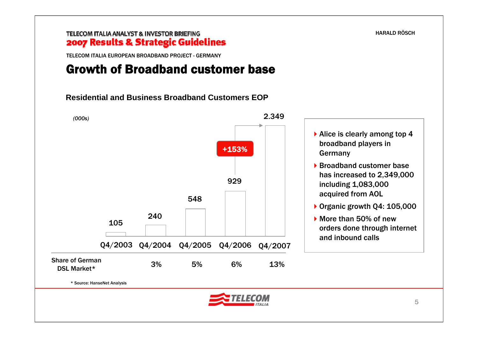TELECOM ITALIA EUROPEAN BROADBAND PROJECT - GERMANY

### Growth of Broadband customer base

**Residential and Business Broadband Customers EOP**

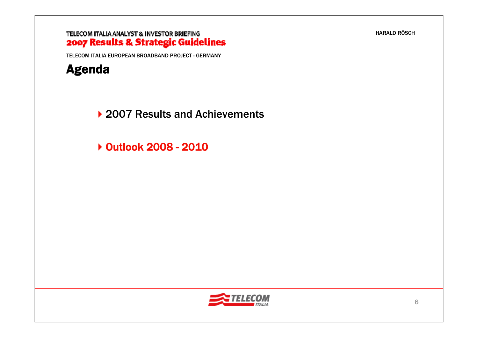TELECOM ITALIA EUROPEAN BROADBAND PROJECT - GERMANY



▶ 2007 Results and Achievements

Outlook 2008 - 2010

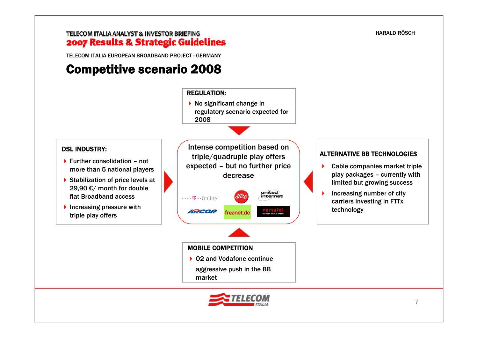TELECOM ITALIA EUROPEAN BROADBAND PROJECT - GERMANY

# Competitive scenario 2008

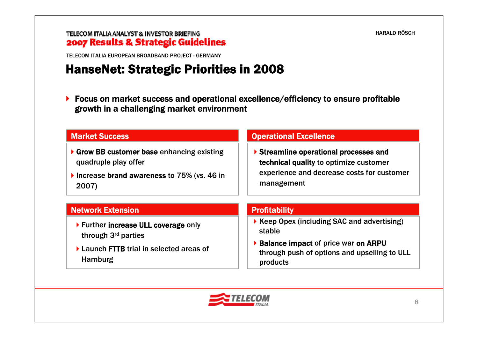TELECOM ITALIA EUROPEAN BROADBAND PROJECT - GERMANY

# HanseNet: Strategic Priorities in 2008

 $\blacktriangleright$  Focus on market success and operational excellence/efficiency to ensure profitable growth in a challenging market environment

| <b>Market Success</b>                                              | <b>Operational Excellence</b>                                                                                                              |  |  |
|--------------------------------------------------------------------|--------------------------------------------------------------------------------------------------------------------------------------------|--|--|
| ▶ Grow BB customer base enhancing existing<br>quadruple play offer | Streamline operational processes and<br>technical quality to optimize customer<br>experience and decrease costs for customer<br>management |  |  |
| Increase brand awareness to 75% (vs. 46 in<br>2007)                |                                                                                                                                            |  |  |
| <b>Network Extension</b>                                           | <b>Profitability</b>                                                                                                                       |  |  |
| ▶ Further increase ULL coverage only<br>through 3rd parties        | ▶ Keep Opex (including SAC and advertising)<br>stable                                                                                      |  |  |
| ▶ Launch FTTB trial in selected areas of<br><b>Hamburg</b>         | ▶ Balance impact of price war on ARPU<br>through push of options and upselling to ULL<br>products                                          |  |  |

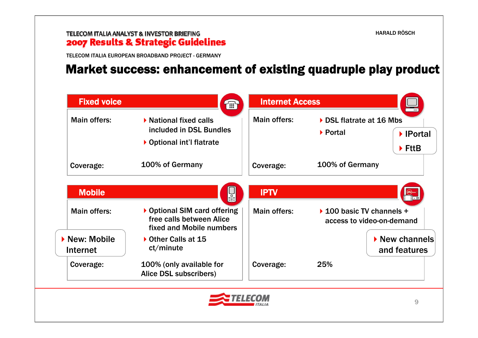### TELECOM ITALIA ANALYST & INVESTOR BRIEFING 2007 Results & Strategic Guidelines

TELECOM ITALIA EUROPEAN BROADBAND PROJECT - GERMANY

## Market success: enhancement of existing quadruple play product

| <b>Main offers:</b>     | ▶ National fixed calls                                                               | Main offers: | DSL flatrate at 16 Mbs                                 |  |
|-------------------------|--------------------------------------------------------------------------------------|--------------|--------------------------------------------------------|--|
|                         | included in DSL Bundles                                                              |              | ▶ Portal<br>lPortal                                    |  |
|                         | ▶ Optional int'l flatrate                                                            |              | $\blacktriangleright$ FttB                             |  |
| Coverage:               | 100% of Germany                                                                      | Coverage:    | 100% of Germany                                        |  |
| <b>Mobile</b>           | <u>lae</u>                                                                           | <b>IPTV</b>  |                                                        |  |
| <b>Main offers:</b>     | ▶ Optional SIM card offering<br>free calls between Alice<br>fixed and Mobile numbers | Main offers: | ▶ 100 basic TV channels +<br>access to video-on-demand |  |
| New: Mobile<br>Internet | Other Calls at 15<br>ct/minute                                                       |              | $\triangleright$ New channels<br>and features          |  |
| Coverage:               | 100% (only available for<br>Alice DSL subscribers)                                   | Coverage:    | 25%                                                    |  |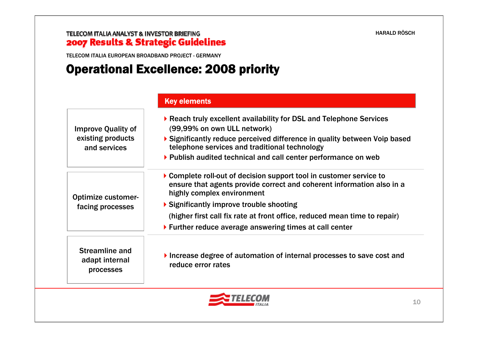TELECOM ITALIA EUROPEAN BROADBAND PROJECT - GERMANY

## Operational Excellence: 2008 priority

|                                                                | <b>Key elements</b>                                                                                                                                                                                                                                                                                                                                            |
|----------------------------------------------------------------|----------------------------------------------------------------------------------------------------------------------------------------------------------------------------------------------------------------------------------------------------------------------------------------------------------------------------------------------------------------|
| <b>Improve Quality of</b><br>existing products<br>and services | ▶ Reach truly excellent availability for DSL and Telephone Services<br>(99,99% on own ULL network)<br>▶ Significantly reduce perceived difference in quality between Voip based<br>telephone services and traditional technology<br>▶ Publish audited technical and call center performance on web                                                             |
| <b>Optimize customer-</b><br>facing processes                  | ▶ Complete roll-out of decision support tool in customer service to<br>ensure that agents provide correct and coherent information also in a<br>highly complex environment<br>▶ Significantly improve trouble shooting<br>(higher first call fix rate at front office, reduced mean time to repair)<br>▶ Further reduce average answering times at call center |
| <b>Streamline and</b><br>adapt internal<br>processes           | Increase degree of automation of internal processes to save cost and<br>reduce error rates                                                                                                                                                                                                                                                                     |

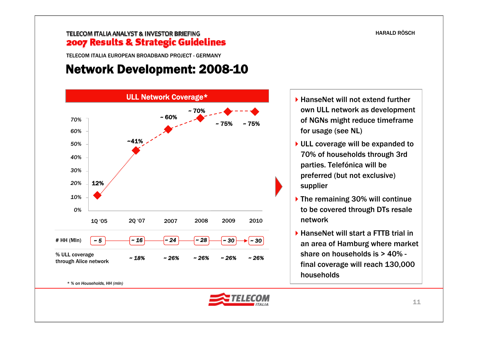### TELECOM ITALIA ANALYST & INVESTOR BRIEFING 2007 Results & Strategic Guidelines

TELECOM ITALIA EUROPEAN BROADBAND PROJECT - GERMANY

### Network Development: 2008-10



- ▶ HanseNet will not extend further own ULL network as development of NGNs might reduce timeframe for usage (see NL)
- ▶ ULL coverage will be expanded to 70% of households through 3rd parties. Telefónica will be preferred (but not exclusive) supplier
- ▶ The remaining 30% will continue to be covered through DTs resale network
- ▶ HanseNet will start a FTTB trial in an area of Hamburg where market share on households is > 40% final coverage will reach 130,000 households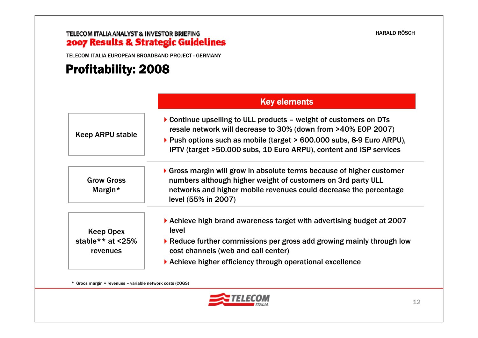# **TELECOM ITALIA ANALYST & INVESTOR BRIEFING<br>2007 Results & Strategic Guidelines**

TELECOM ITALIA EUROPEAN BROADBAND PROJECT - GERMANY

# Profitability: 2008

|                                                      | <b>Key elements</b>                                                                                                                                                                                                                                                                              |
|------------------------------------------------------|--------------------------------------------------------------------------------------------------------------------------------------------------------------------------------------------------------------------------------------------------------------------------------------------------|
| Keep ARPU stable                                     | $\triangleright$ Continue upselling to ULL products – weight of customers on DTs<br>resale network will decrease to 30% (down from >40% EOP 2007)<br>▶ Push options such as mobile (target > 600.000 subs, 8-9 Euro ARPU),<br>IPTV (target >50.000 subs, 10 Euro ARPU), content and ISP services |
| <b>Grow Gross</b><br>Margin*                         | $\triangleright$ Gross margin will grow in absolute terms because of higher customer<br>numbers although higher weight of customers on 3rd party ULL<br>networks and higher mobile revenues could decrease the percentage<br>level (55% in 2007)                                                 |
| <b>Keep Opex</b><br>stable ** at $<$ 25%<br>revenues | $\blacktriangleright$ Achieve high brand awareness target with advertising budget at 2007<br>level<br>▶ Reduce further commissions per gross add growing mainly through low<br>cost channels (web and call center)<br>▶ Achieve higher efficiency through operational excellence                 |

\* Groos margin = revenues – variable network costs (COGS)

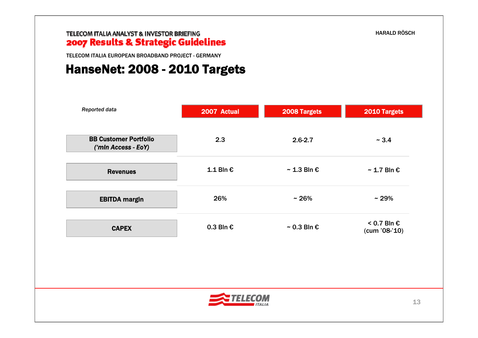### TELECOM ITALIA ANALYST & INVESTOR BRIEFING 2007 Results & Strategic Guidelines

TELECOM ITALIA EUROPEAN BROADBAND PROJECT - GERMANY

### HanseNet: 2008 - 2010 Targets

| Reported data                                       | 2007 Actual        | 2008 Targets              | 2010 Targets                 |
|-----------------------------------------------------|--------------------|---------------------------|------------------------------|
| <b>BB Customer Portfolio</b><br>('min Access - EoY) | 2.3                | $2.6 - 2.7$               | ~1.4                         |
| <b>Revenues</b>                                     | $1.1$ Bln €        | $\sim$ 1.3 Bln $\epsilon$ | $\sim$ 1.7 Bln $\epsilon$    |
| <b>EBITDA margin</b>                                | 26%                | $~1$ 26%                  | $~29\%$                      |
| <b>CAPEX</b>                                        | 0.3 Bln $\epsilon$ | $\sim$ 0.3 Bln $\epsilon$ | < 0.7 Bln €<br>(cum '08-'10) |
|                                                     |                    |                           |                              |
|                                                     | <b>ITALIA</b>      |                           | 13                           |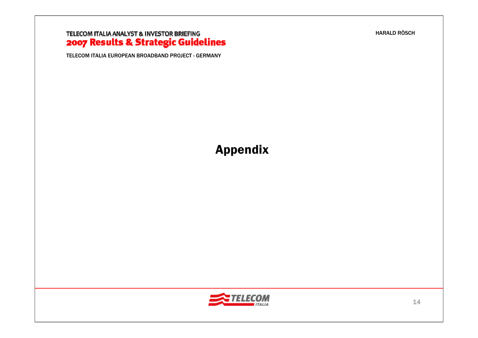# **TELECOM ITALIA ANALYST & INVESTOR BRIEFING<br>2007 Results & Strategic Guidelines**

TELECOM ITALIA EUROPEAN BROADBAND PROJECT - GERMANY

## Appendix

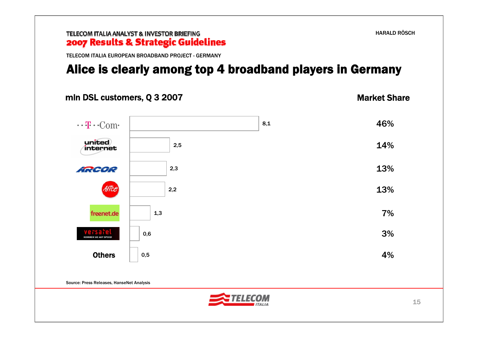### TELECOM ITALIA ANALYST & INVESTOR BRIEFING 2007 Results & Strategic Guidelines TELECOM ITALIA EUROPEAN BROADBAND PROJECT - GERMANYAlice is clearly among top 4 broadband players in Germany

### mln DSL customers, Q 3 2007

Market Share

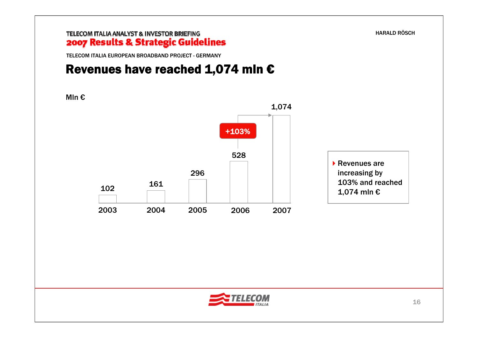TELECOM ITALIA EUROPEAN BROADBAND PROJECT - GERMANY

## Revenues have reached 1,074 mln  $\epsilon$

Mln €